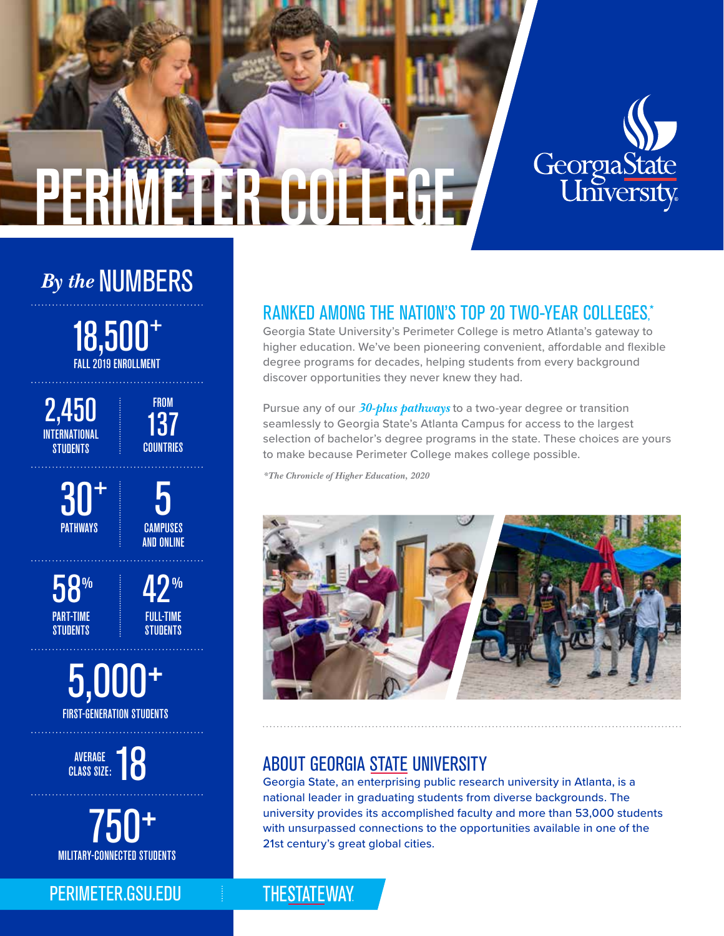# Georgia State<br>University PERIMËTER COLLEGE

## *By the* NUMBERS

18,500**<sup>+</sup>** FALL 2019 ENROLLMENT

2,450 INTERNATIONAL **STUDENTS** 

COUNTRIES 30**<sup>+</sup>** 5

PATHWAYS **Example** CAMPUSES AND ONLINE

**FROM** 

137

PART-TIME **STUDENTS** 58**%** 42**%**

FULL-TIME **STUDENTS** 

5,000**<sup>+</sup>** FIRST-GENERATION STUDENTS

AVERAGE 18 CLASS SIZE:

 750**<sup>+</sup>** MILITARY-CONNECTED STUDENTS

### PERIMETER.GSU.EDU

#### RANKED AMONG THE NATION'S TOP 20 TWO-YEAR COLLEGES, \*

Georgia State University's Perimeter College is metro Atlanta's gateway to higher education. We've been pioneering convenient, affordable and flexible degree programs for decades, helping students from every background discover opportunities they never knew they had.

Pursue any of our *30-plus pathways* to a two-year degree or transition seamlessly to Georgia State's Atlanta Campus for access to the largest selection of bachelor's degree programs in the state. These choices are yours to make because Perimeter College makes college possible.

*\*The Chronicle of Higher Education, 2020*



### ABOUT GEORGIA STATE UNIVERSITY

Georgia State, an enterprising public research university in Atlanta, is a national leader in graduating students from diverse backgrounds. The university provides its accomplished faculty and more than 53,000 students with unsurpassed connections to the opportunities available in one of the 21st century's great global cities.

#### **THESTATEWAY**